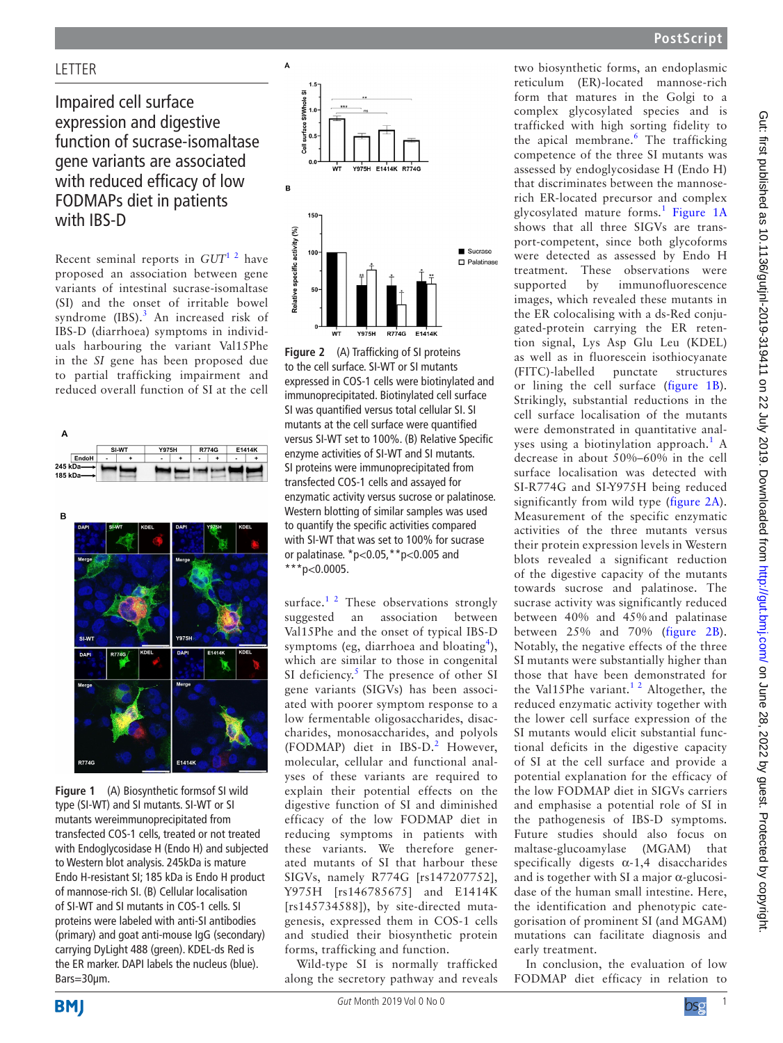## **LETTER**

# Impaired cell surface expression and digestive function of sucrase-isomaltase gene variants are associated with reduced efficacy of low FODMAPs diet in patients with IBS-D

Recent seminal reports in *GUT*[1 2](#page-1-0) have proposed an association between gene variants of intestinal sucrase-isomaltase (SI) and the onset of irritable bowel syndrome  $(IBS).$ <sup>[3](#page-1-1)</sup> An increased risk of IBS-D (diarrhoea) symptoms in individuals harbouring the variant Val15Phe in the *SI* gene has been proposed due to partial trafficking impairment and reduced overall function of SI at the cell





<span id="page-0-0"></span>**Figure 1** (A) Biosynthetic formsof SI wild type (SI-WT) and SI mutants. SI-WT or SI mutants wereimmunoprecipitated from transfected COS-1 cells, treated or not treated with Endoglycosidase H (Endo H) and subjected to Western blot analysis. 245kDa is mature Endo H-resistant SI; 185 kDa is Endo H product of mannose-rich SI. (B) Cellular localisation of SI-WT and SI mutants in COS-1 cells. SI proteins were labeled with anti-SI antibodies (primary) and goat anti-mouse IgG (secondary) carrying DyLight 488 (green). KDEL-ds Red is the ER marker. DAPI labels the nucleus (blue). Bars=30µm.



<span id="page-0-1"></span>**Figure 2** (A) Trafficking of SI proteins to the cell surface. SI-WT or SI mutants expressed in COS-1 cells were biotinylated and immunoprecipitated. Biotinylated cell surface SI was quantified versus total cellular SI. SI mutants at the cell surface were quantified versus SI-WT set to 100%. (B) Relative Specific enzyme activities of SI-WT and SI mutants. SI proteins were immunoprecipitated from transfected COS-1 cells and assayed for enzymatic activity versus sucrose or palatinose. Western blotting of similar samples was used to quantify the specific activities compared with SI-WT that was set to 100% for sucrase or palatinase. \*p<0.05,\*\*p<0.005 and \*\*\*p<0.0005.

surface.<sup>1 2</sup> These observations strongly suggested an association between Val15Phe and the onset of typical IBS-D symptoms (eg, diarrhoea and bloating<sup>[4](#page-1-2)</sup>), which are similar to those in congenital SI deficiency.<sup>[5](#page-1-3)</sup> The presence of other SI gene variants (SIGVs) has been associated with poorer symptom response to a low fermentable oligosaccharides, disaccharides, monosaccharides, and polyols (FODMAP) diet in IBS-D.<sup>[2](#page-1-4)</sup> However, molecular, cellular and functional analyses of these variants are required to explain their potential effects on the digestive function of SI and diminished efficacy of the low FODMAP diet in reducing symptoms in patients with these variants. We therefore generated mutants of SI that harbour these SIGVs, namely R774G [rs147207752], Y975H [rs146785675] and E1414K [rs145734588]), by site-directed mutagenesis, expressed them in COS-1 cells and studied their biosynthetic protein forms, trafficking and function.

Wild-type SI is normally trafficked along the secretory pathway and reveals two biosynthetic forms, an endoplasmic reticulum (ER)-located mannose-rich form that matures in the Golgi to a complex glycosylated species and is trafficked with high sorting fidelity to the apical membrane.<sup>[6](#page-1-5)</sup> The trafficking competence of the three SI mutants was assessed by endoglycosidase H (Endo H) that discriminates between the mannoserich ER-located precursor and complex glycosylated mature forms.<sup>[1](#page-1-0)</sup> [Figure](#page-0-0) 1A shows that all three SIGVs are transport-competent, since both glycoforms were detected as assessed by Endo H treatment. These observations were supported by immunofluorescence images, which revealed these mutants in the ER colocalising with a ds-Red conjugated-protein carrying the ER retention signal, Lys Asp Glu Leu (KDEL) as well as in fluorescein isothiocyanate (FITC)-labelled punctate structures or lining the cell surface ([figure](#page-0-0) 1B). Strikingly, substantial reductions in the cell surface localisation of the mutants were demonstrated in quantitative anal-yses using a biotinylation approach.<sup>[1](#page-1-0)</sup> A decrease in about 50%–60% in the cell surface localisation was detected with SI-R774G and SI-Y975H being reduced significantly from wild type ([figure](#page-0-1) 2A). Measurement of the specific enzymatic activities of the three mutants versus their protein expression levels in Western blots revealed a significant reduction of the digestive capacity of the mutants towards sucrose and palatinose. The sucrase activity was significantly reduced between 40% and 45% and palatinase between 25% and 70% ([figure](#page-0-1) 2B). Notably, the negative effects of the three SI mutants were substantially higher than those that have been demonstrated for the Val15Phe variant.<sup>1 2</sup> Altogether, the reduced enzymatic activity together with the lower cell surface expression of the SI mutants would elicit substantial functional deficits in the digestive capacity of SI at the cell surface and provide a potential explanation for the efficacy of the low FODMAP diet in SIGVs carriers and emphasise a potential role of SI in the pathogenesis of IBS-D symptoms. Future studies should also focus on maltase-glucoamylase (MGAM) that specifically digests  $\alpha$ -1,4 disaccharides and is together with SI a major  $\alpha$ -glucosidase of the human small intestine. Here, the identification and phenotypic categorisation of prominent SI (and MGAM) mutations can facilitate diagnosis and early treatment.

In conclusion, the evaluation of low FODMAP diet efficacy in relation to